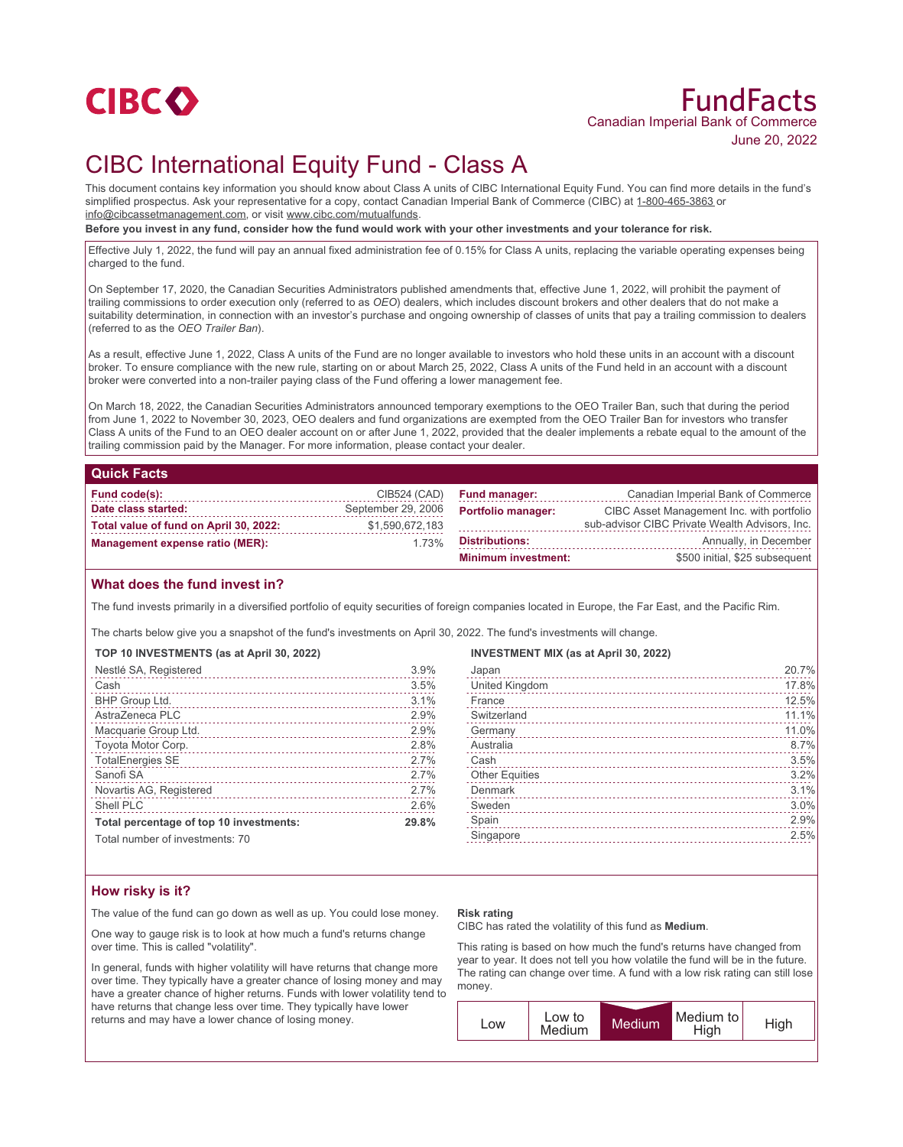

## FundFacts Canadian Imperial Bank of Commerce June 20, 2022

# CIBC International Equity Fund - Class A

This document contains key information you should know about Class A units of CIBC International Equity Fund. You can find more details in the fund's simplified prospectus. Ask your representative for a copy, contact Canadian Imperial Bank of Commerce (CIBC) at 1-800-465-3863 or info@cibcassetmanagement.com, or visit www.cibc.com/mutualfunds.

**Before you invest in any fund, consider how the fund would work with your other investments and your tolerance for risk.**

Effective July 1, 2022, the fund will pay an annual fixed administration fee of 0.15% for Class A units, replacing the variable operating expenses being charged to the fund.

On September 17, 2020, the Canadian Securities Administrators published amendments that, effective June 1, 2022, will prohibit the payment of trailing commissions to order execution only (referred to as *OEO*) dealers, which includes discount brokers and other dealers that do not make a suitability determination, in connection with an investor's purchase and ongoing ownership of classes of units that pay a trailing commission to dealers (referred to as the *OEO Trailer Ban*).

As a result, effective June 1, 2022, Class A units of the Fund are no longer available to investors who hold these units in an account with a discount broker. To ensure compliance with the new rule, starting on or about March 25, 2022, Class A units of the Fund held in an account with a discount broker were converted into a non-trailer paying class of the Fund offering a lower management fee.

On March 18, 2022, the Canadian Securities Administrators announced temporary exemptions to the OEO Trailer Ban, such that during the period from June 1, 2022 to November 30, 2023, OEO dealers and fund organizations are exempted from the OEO Trailer Ban for investors who transfer Class A units of the Fund to an OEO dealer account on or after June 1, 2022, provided that the dealer implements a rebate equal to the amount of the trailing commission paid by the Manager. For more information, please contact your dealer.

#### **Quick Facts**

| Fund code(s):                          | CIB524 (CAD)       | <b>Fund manager:</b>       | Canadian Imperial Bank of Commerce             |
|----------------------------------------|--------------------|----------------------------|------------------------------------------------|
| Date class started:                    | September 29, 2006 | <b>Portfolio manager:</b>  | CIBC Asset Management Inc. with portfolio      |
| Total value of fund on April 30, 2022: | \$1,590,672,183    |                            | sub-advisor CIBC Private Wealth Advisors, Inc. |
| <b>Management expense ratio (MER):</b> | 1.73%              | Distributions:             | Annually, in December                          |
|                                        |                    | <b>Minimum investment:</b> | \$500 initial, \$25 subsequent                 |

### **What does the fund invest in?**

The fund invests primarily in a diversified portfolio of equity securities of foreign companies located in Europe, the Far East, and the Pacific Rim.

The charts below give you a snapshot of the fund's investments on April 30, 2022. The fund's investments will change.

|  |  |  | TOP 10 INVESTMENTS (as at April 30, 2022) |  |  |  |  |  |  |
|--|--|--|-------------------------------------------|--|--|--|--|--|--|
|--|--|--|-------------------------------------------|--|--|--|--|--|--|

| Nestlé SA, Registered                   | 3.9%  |
|-----------------------------------------|-------|
| Cash                                    | 3.5%  |
| BHP Group Ltd.                          | 3.1%  |
| AstraZeneca PLC                         | 2.9%  |
| Macquarie Group Ltd.                    | 2.9%  |
| Toyota Motor Corp.                      | 2.8%  |
| <b>TotalEnergies SE</b>                 | 2.7%  |
| Sanofi SA                               | 2.7%  |
| Novartis AG, Registered                 | 2.7%  |
| Shell PLC                               | 2.6%  |
| Total percentage of top 10 investments: | 29.8% |
| Total number of investments: 70         |       |

| <b>INVESTMENT MIX (as at April 30, 2022)</b> |       |
|----------------------------------------------|-------|
| Japan                                        | 20.7% |

| United Kingdom        | 17.8% |
|-----------------------|-------|
| France                | 12.5% |
| Switzerland           | 11.1% |
| Germany               | 11.0% |
| Australia             | 8.7%  |
| Cash                  | 3.5%  |
| <b>Other Equities</b> | 3.2%  |
| Denmark               | 3.1%  |
| Sweden                | 3.0%  |
| Spain                 | 2.9%  |
| Singapore             | 2.5%  |
|                       |       |

### **How risky is it?**

The value of the fund can go down as well as up. You could lose money.

One way to gauge risk is to look at how much a fund's returns change over time. This is called "volatility".

In general, funds with higher volatility will have returns that change more over time. They typically have a greater chance of losing money and may have a greater chance of higher returns. Funds with lower volatility tend to have returns that change less over time. They typically have lower returns and may have a lower chance of losing money.

#### **Risk rating**

CIBC has rated the volatility of this fund as **Medium**.

This rating is based on how much the fund's returns have changed from year to year. It does not tell you how volatile the fund will be in the future. The rating can change over time. A fund with a low risk rating can still lose money.

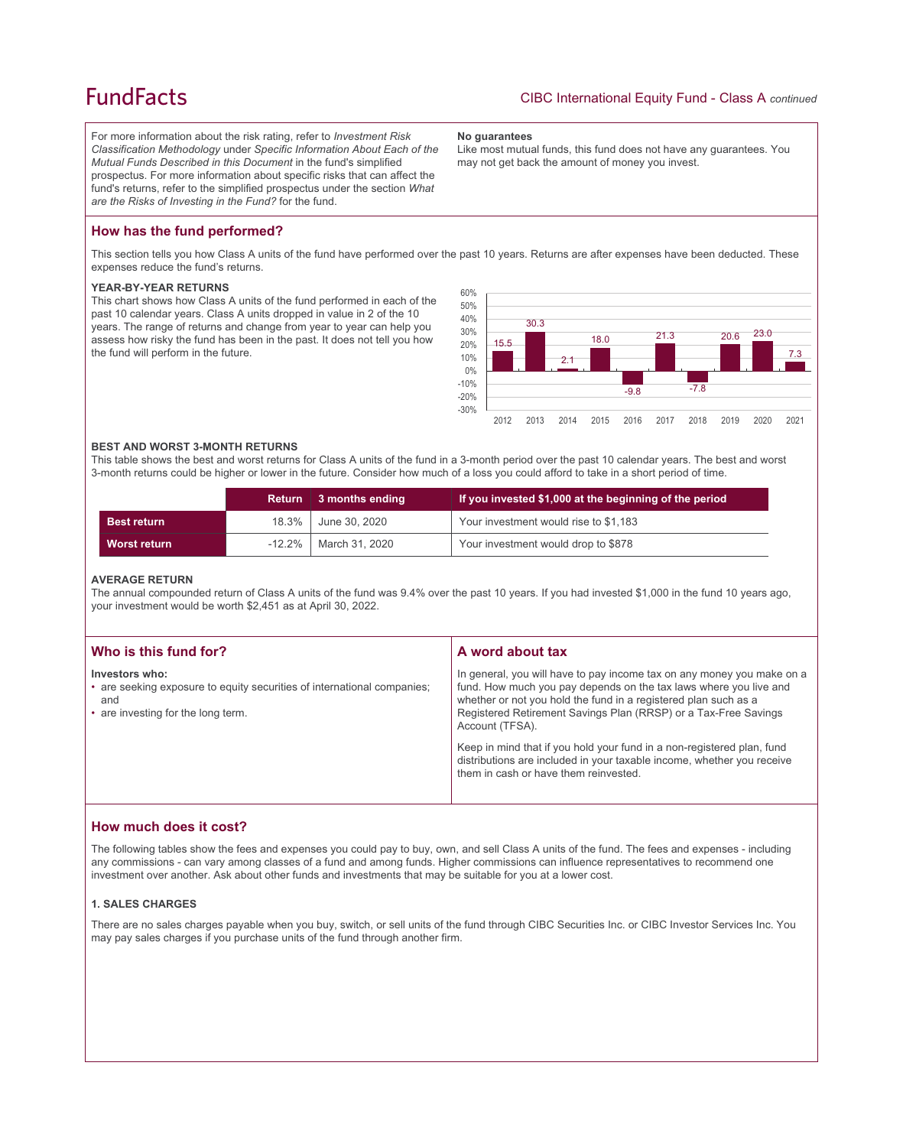## **FundFacts**

For more information about the risk rating, refer to *Investment Risk Classification Methodology* under *Specific Information About Each of the Mutual Funds Described in this Document* in the fund's simplified prospectus. For more information about specific risks that can affect the fund's returns, refer to the simplified prospectus under the section *What are the Risks of Investing in the Fund?* for the fund.

#### **No guarantees**

Like most mutual funds, this fund does not have any guarantees. You may not get back the amount of money you invest.

## **How has the fund performed?**

This section tells you how Class A units of the fund have performed over the past 10 years. Returns are after expenses have been deducted. These expenses reduce the fund's returns.

#### **YEAR-BY-YEAR RETURNS**

This chart shows how Class A units of the fund performed in each of the past 10 calendar years. Class A units dropped in value in 2 of the 10 years. The range of returns and change from year to year can help you assess how risky the fund has been in the past. It does not tell you how the fund will perform in the future.



#### **BEST AND WORST 3-MONTH RETURNS**

This table shows the best and worst returns for Class A units of the fund in a 3-month period over the past 10 calendar years. The best and worst 3-month returns could be higher or lower in the future. Consider how much of a loss you could afford to take in a short period of time.

|                     | <b>Return</b> | $\parallel$ 3 months ending | If you invested \$1,000 at the beginning of the period |
|---------------------|---------------|-----------------------------|--------------------------------------------------------|
| <b>Best return</b>  |               | 18.3% June 30, 2020         | Your investment would rise to \$1,183                  |
| <b>Worst return</b> | $-12.2\%$     | March 31, 2020              | Your investment would drop to \$878                    |

#### **AVERAGE RETURN**

The annual compounded return of Class A units of the fund was 9.4% over the past 10 years. If you had invested \$1,000 in the fund 10 years ago, your investment would be worth \$2,451 as at April 30, 2022.

| Who is this fund for?                                                                                                                  | A word about tax                                                                                                                                                                                                                                                                                     |  |
|----------------------------------------------------------------------------------------------------------------------------------------|------------------------------------------------------------------------------------------------------------------------------------------------------------------------------------------------------------------------------------------------------------------------------------------------------|--|
| Investors who:<br>• are seeking exposure to equity securities of international companies;<br>and<br>• are investing for the long term. | In general, you will have to pay income tax on any money you make on a<br>fund. How much you pay depends on the tax laws where you live and<br>whether or not you hold the fund in a registered plan such as a<br>Registered Retirement Savings Plan (RRSP) or a Tax-Free Savings<br>Account (TFSA). |  |
|                                                                                                                                        | Keep in mind that if you hold your fund in a non-registered plan, fund<br>distributions are included in your taxable income, whether you receive<br>them in cash or have them reinvested.                                                                                                            |  |

### **How much does it cost?**

The following tables show the fees and expenses you could pay to buy, own, and sell Class A units of the fund. The fees and expenses - including any commissions - can vary among classes of a fund and among funds. Higher commissions can influence representatives to recommend one investment over another. Ask about other funds and investments that may be suitable for you at a lower cost.

#### **1. SALES CHARGES**

There are no sales charges payable when you buy, switch, or sell units of the fund through CIBC Securities Inc. or CIBC Investor Services Inc. You may pay sales charges if you purchase units of the fund through another firm.